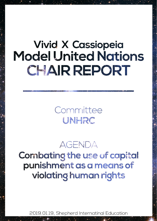# **Vivid X Cassiopeia Model United Nations** CHAIR REPORT

Committee UNHRC

## **AGENDA**

Combating the use of capital punishment as a means of violating human rights

2019.01.19, Shepherd Internatinal Education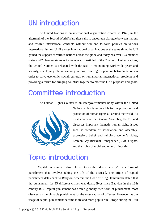## **UN introduction**

The United Nations is an international organization created in 1945, in the aftermath of the Second World War, after calls to encourage dialogue between nations and resolve international conflicts without war and to form policies on various international issues. Unlike most international organizations at the same time, the UN gained the support of various nations across the globe and today has over 193 member states and 2 observer states as its members. In Article I of the Charter of United Nations, the United Nations is delegated with the task of maintaining worldwide peace and security, developing relations among nations, fostering cooperation between nations in order to solve economic, social, cultural, or humanitarian international problems and providing a forum for bringing countries together to meet the UN's purposes and goals.

## **Committee introduction**

The Human Rights Council is an intergovernmental body within the United



Nations which is responsible for the promotion and protection of human rights all around the world. As a subsidiary of the General Assembly, the Council discusses important thematic human rights issues such as freedom of association and assembly, expression, belief and religion, women's rights, Lesbian Gay Bisexual Transgender (LGBT) rights, and the rights of racial and ethnic minorities.

## **Topic introduction**

Capital punishment, also referred to as the "death penalty", is a form of punishment that involves taking the life of the accused. The origin of capital punishment dates back to Babylon, wherein the Code of King Hammurabi stated that the punishment for 25 different crimes was death. Ever since Babylon in the 18th century B.C., capital punishment has been a globally used form of punishment, most often set as the pinnacle punishment for the most capital of offenses. However, as the usage of capital punishment became more and more popular in Europe during the 18th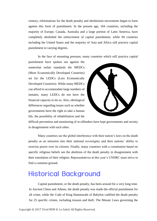century, reformations for the death penalty and abolitionist movements began to form against this form of punishment. In the present age, 104 countries, including the majority of Europe, Canada, Australia and a large portion of Latin America, have completely abolished the enforcement of capital punishment, while 94 countries including the United States and the majority of Asia and Africa still practice capital punishment to varying degrees.

In the face of mounting pressure, many countries which still practice capital

punishment have spoken out against the somewhat unfair standards the MEDCs (More Economically Developed Countries) set for the LEDCs (Less Economically Developed Countries). While many MEDCs can afford to accommodate large numbers of inmates, many LEDCs do not have the financial capacity to do so. Also, ideological differences regarding issues such as whether governments have the right to take a human life, the possibility of rehabilitation and the



difficult prevention and monitoring of re-offenders have kept governments and society in disagreement with each other.

Many countries see the global interference with their nation's laws on the death penalty as an intrusion into their national sovereignty and their nations' ability to exercise power over its citizens. Finally, many countries with a constitution based on specific religious beliefs see the abolition of the death penalty in disagreement with their translation of their religion. Representatives at this year's UNHRC must strive to find a common ground.

## **Historical Background**

Capital punishment, or the death penalty, has been around for a very long time. In Ancient China and Athens, the death penalty was made the official punishment for all crime, while the Code of King Hammurabi of Babylon codified the death penalty for 25 specific crimes, including treason and theft. The Mosaic Laws governing the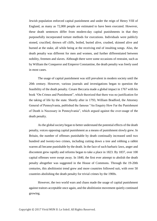Jewish population enforced capital punishment and under the reign of Henry VIII of England, as many as 72,000 people are estimated to have been executed. However, these death sentences differ from modern-day capital punishments in that they purposefully incorporated torture methods for executions. Individuals were publicly stoned, crucified, thrown off cliffs, boiled, buried alive, crushed, skinned alive and burned at the stake, all while being at the receiving end of insulting songs. Also, the death penalty was different for men and women, and further differentiated between nobility, freemen and slaves. Although there were some occasions of restraint, such as by William the Conqueror and Emperor Constantine, the death penalty was freely used in most cases.

The usage of capital punishment was still prevalent in modern society until the 20th century. However, various journals and investigations began to question the feasibility of the death penalty. Cesare Beccaria made a global impact in 1767 with his book "On Crimes and Punishment", which theorized that there was no justification for the taking of life by the state. Shortly after in 1793, William Bradford, the Attorney General of Pennsylvania, published the famous "An Enquiry How Far the Punishment of Death is Necessary in Pennsylvania", which argued against the over-usage of the death penalty.

As the global society began to better understand the potential effects of the death penalty, voices opposing capital punishment as a means of punishment slowly grew. In Britain, the number of offenses punishable by death continually increased until two hundred and twenty-two crimes, including cutting down a tree and robbing a rabbit warren all became punishable by the death. In the face of such barbaric laws, anger and discontent grew rapidly and reforms began to take a place in 1823. By 1837, over 100 capital offenses were swept away. In 1840, the first ever attempt to abolish the death penalty altogether was suggested in the House of Commons. Through the 19-20th centuries, this abolitionist trend grew and more countries followed suit, with over 50 countries abolishing the death penalty for trivial crimes by the 1900s.

However, the two world wars and chaos made the usage of capital punishment against traitors acceptable once again, and the abolitionist movement quietly continued growing.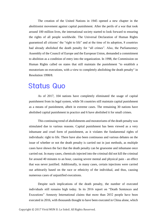The creation of the United Nations in 1945 opened a new chapter in the abolitionist movement against capital punishment. After the perils of a war that took around 100 million lives, the international society started to look forward to ensuring the rights of all people worldwide. The Universal Declaration of Human Rights guaranteed all citizens' the "right to life" and at the time of its adoption, 8 countries had already abolished the death penalty for "all crimes". Also, the Parliamentary Assembly of the Council of Europe and the European Union, demanded a commitment to abolition as a condition of entry into the organization. In 1998, the Commission on Human Rights called on states that still maintain the punishment "to establish a moratorium on executions, with a view to completely abolishing the death penalty" in Resolution 1998/8.

### **Status Quo**

As of 2017, 104 nations have completely eliminated the usage of capital punishment from its legal system, while 56 countries still maintain capital punishment as a means of punishment, albeit in extreme cases. The remaining 30 nations have abolished capital punishment in practice and 6 have abolished it for small crimes.

This continuing trend of abolishments and moratoriums of the death penalty was stimulated due to various reasons. Capital punishment has been viewed as a very inhumane and cruel form of punishment, as it violates the fundamental rights of individuals: right to life. There have also been continuous and various debates on the issue of whether or not the death penalty is carried out in just methods, as multiple cases have shown the fact that the death penalty can be gruesome and inhumane once carried out. In many cases, chemicals injected into the criminal did not kill the criminal for around 40 minutes to an hour, causing severe mental and physical pain - an effect that was never justified. Additionally, in many cases, certain injections were carried out arbitrarily based on the race or ethnicity of the individual, and thus, causing numerous cases of unjustified executions.

Despite such implications of the death penalty, the number of executed individuals still remains high today. In its 2016 report on "Death Sentences and Executions" Amnesty International claims that more than 2032 people have been executed in 2016, with thousands thought to have been executed in China alone, which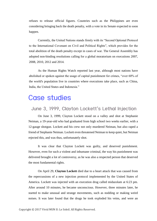refuses to release official figures. Countries such as the Philippines are even considering bringing back the death penalty, with a vote in its Senate expected to soon happen.

Currently, the United Nations stands firmly with its "Second Optional Protocol to the International Covenant on Civil and Political Rights", which provides for the total abolition of the death penalty except in cases of war. The General Assembly has adopted non-binding resolutions calling for a global moratorium on executions 2007, 2008, 2010, 2012 and 2014.

As the Human Rights Watch reported last year, although most nations have abolished or spoken against the usage of capital punishment for crimes, "over 60% of the world's population live in countries where executions take place, such as China, India, the United States and Indonesia."

### **Case studies**

### June 3, 1999, Clayton Lockett's Lethal Injection

On June 3, 1999, Clayton Lockett stood on a valley and shot at Stephanie Neiman, a 19-year-old who had graduated from high school two weeks earlier, with a 12-gauge shotgun. Lockett and his crew not only murdered Neiman, but also raped a friend of Stephanie Neiman. Lockett even threatened Neiman to keep quiet, but Neiman rejected this, and was thus, unfortunately shot.

It was clear that Clayton Lockett was guilty, and deserved punishment. However, even for such a violent and inhumane criminal, the way his punishment was delivered brought a lot of controversy, as he was also a respected person that deserved the most fundamental rights.

On April 29, **Clayton Lockett** died due to a heart attack that was caused from the repercussions of a new injection protocol implemented by the United States of America. Lockett was injected with an execution drug called midazolam at 6:23 pm. After around 10 minutes, he became unconscious. However, three minutes later, he started to make unusual and strange movements, such as nodding or making weird noises. It was later found that the drugs he took exploded his veins, and were an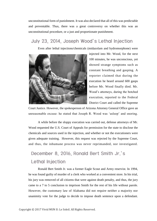unconstitutional form of punishment. It was also declared that all of this was predictable and preventable. Thus, there was a great controversy on whether this was an unconstitutional procedure, or a just and proportionate punishment.

#### July 23, 2014, Joseph Wood's Lethal Injection

Even after lethal injections/chemicals (midazolam and hydromorphone) were



injected into Mr. Wood, for the next 100 minutes, he was unconscious, yet showed strange symptoms such as constant breathing and gasping. A reporter claimed that during the execution he heard around 600 gasps before Mr. Wood finally died. Mr. Wood's attorneys, during the botched execution, reported to the Federal District Court and called the Supreme

Court Justice. However, the spokesperson of Arizona Attorney General Office gave an unreasonable excuse: he stated that Joseph R. Wood was 'asleep' and snoring.

A while before the sloppy execution was carried out, defense attorneys of Mr. Wood requested the U.S. Court of Appeals for permission for the state to disclose the chemicals and sources used in the injection, and whether or not the executioners were given adequate training. However, this request was rejected by the Supreme Court, and thus, the inhumane process was never reprimanded, nor investigated.

### December 8, 2016, Ronald Bert Smith Jr.'s **Lethal Injection**

Ronald Bert Smith Jr. was a former Eagle Scout and Army reservist. In 1994, he was found guilty of murder of a clerk who worked at a convenient store. In his trial, his jury was removed of all citizens that were against death penalty, and thus, the jury came to a 7 to 5 conclusion to imprison Smith for the rest of his life without parole. However, the customary law of Alabama did not require neither a majority nor unanimity vote for the judge to decide to impose death sentence upon a defendant.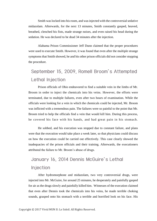Smith was locked into his room, and was injected with the controversial sedative midazolam. Afterwards, for the next 13 minutes, Smith constantly gasped, heaved, breathed, clenched his fists, made strange noises, and even raised his head during the sedation. He was declared to be dead 34 minutes after the injection.

Alabama Prison Commissioner Jeff Dunn claimed that the proper procedures were used to execute Smith. However, it was found that even after the multiple strange symptoms that Smith showed, he and his other prison officials did not consider stopping the procedure.

### September 15, 2009, Romell Broom's Attempted **Lethal Injection**

Prison officials of Ohio endeavored to find a suitable vein in the limbs of Mr. Broom in order to inject the chemicals into his veins. However, the efforts were terminated, due to multiple failures, even after two hours of examination. While the officials were looking for a vein in which the chemicals could be injected, Mr. Broom was inflicted with a tremendous pain. The failures were so painful to the point that Mr. Broom tried to help the officials find a vein that would kill him. During this process, he covered his face with his hands, and had great pain in his stomach.

He sobbed, and his execution was stopped due to constant failure, and plans were that the execution would take place a week later, so that physicians could discuss on how the execution could be carried out effectively. This case clearly showed the inadequacies of the prison officials and their training. Afterwards, the executioners attributed the failure to Mr. Broom's abuse of drugs.

### January 16, 2014 Dennis McGuire's Lethal Injection

After hydromorphone and midazolam, two very controversial drugs, were injected into Mr. McGuire, for around 25 minutes, he desperately and painfully gasped for air as the drugs slowly and painfully killed him. Witnesses of the execution claimed that even after Dennis took the chemicals into his veins, he made terrible choking sounds, grasped onto his stomach with a terrible and horrified look on his face. His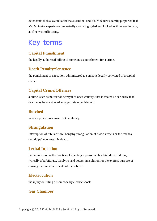defendants filed a lawsuit after the execution, and Mr. McGuire's family purported that Mr. McGuire experienced repeatedly snorted, gurgled and looked as if he was in pain, as if he was suffocating.

## **Key terms**

#### **Capital Punishment**

the legally authorized killing of someone as punishment for a crime.

#### **Death Penalty/Sentence**

the punishment of execution, administered to someone legally convicted of a capital crime.

#### **Capital Crime/Offences**

a crime, such as murder or betrayal of one's country, that is treated so seriously that death may be considered an appropriate punishment.

#### **Botched**

When a procedure carried out carelessly.

#### **Strangulation**

Interruption of tubular flow. Lengthy strangulation of blood vessels or the trachea (windpipe) may result in death.

#### **Lethal Injection**

Lethal injection is the practice of injecting a person with a fatal dose of drugs, typically a barbiturate, paralytic, and potassium solution for the express purpose of causing the immediate death of the subject.

#### **Electrocution**

the injury or killing of someone by electric shock

#### **Gas Chamber**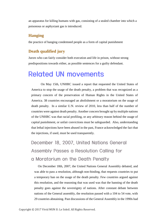an apparatus for killing humans with gas, consisting of a sealed chamber into which a poisonous or asphyxiant gas is introduced.

#### **Hanging**

the practice of hanging condemned people as a form of capital punishment

#### **Death qualified jury**

Jurors who can fairly consider both execution and life in prison, without strong predispositions towards either, as possible sentences for a guilty defendant.

## **Related UN movements**

On May 15th, UNHRC issued a report that requested the United States of America to stop the usage of the death penalty, a problem that was recognized as a primary concern of the preservation of Human Rights in the United States of America. 38 countries encouraged an abolishment or a moratorium on the usage of death penalty. In a similar U.N. review of 2010, less than half of the number of countries were against death penalty. Another concern brought up by multiple nations of the UNHRC was that racial profiling, or any arbitrary reason behind the usage of capital punishment, or unfair convictions must be safeguarded. Also, understanding that lethal injections have been abused in the past, France acknowledged the fact that the injections, if used, must be used transparently.

### December 18, 2007, United Nations General Assembly Passes a Resolution Calling for a Moratorium on the Death Penalty

On December 18th, 2007, the United Nations General Assembly debated, and was able to pass a resolution, although non-binding, that requests countries to put a temporary ban on the usage of the death penalty. Few countries argued against this resolution, and the reasoning that was used was that the banning of the death penalty goes against the sovereignty of nations. After constant debate between nations of the General assembly, the resolution passed with a 104 to 54 vote, with 29 countries abstaining. Past discussions of the General Assembly in the 1990s had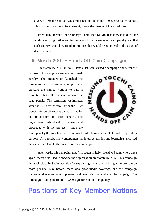a very different result, as two similar resolutions in the 1990s have failed to pass. This is significant, as it, to an extent, shows the change of the social trend.

Previously, former UN Secretary General Ban Ki-Moon acknowledged that the world is moving further and further away from the usage of death penalty, and that each country should try to adopt policies that would bring an end to the usage of death penalty.

### 15 March 2001 - Hands Off Cain Campaigns:

On March 15, 2001, in Italy, Hands Off Cain started a campaign online for the

purpose of raising awareness of death penalty. The organization launched the campaign in order to gain support and pressure the United Nations to pass a resolution that calls for a moratorium on death penalty. This campaign was initiated after the EU's withdrawal from the 1999 General Assembly resolution that called for the moratorium on death penalty. The organization advertised its cause and proceeded with the project - "Stop the



death penalty through Internet" - and used multiple media outlets to further spread its purpose. As a result, many entertainers, athletes, celebrities and journalists endorsed the cause, and lead to the success of the campaign.

Afterwards, this campaign that first began in Italy spread to Spain, where once again, media was used to endorse the organization on March 16, 2002. This campaign that took place in Spain was also for supporting the efforts to bring a moratorium on death penalty. Like before, there was great media coverage, and the campaign succeeded thanks to many supporters and celebrities that endorsed the campaign. The campaign could gain around 10,000 signatures in one single day.

## **Positions of Key Member Nations**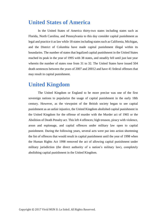### **United States of America**

In the United States of America thirty-two states including states such as Florida, North Carolina, and Pennsylvania to this day consider capital punishment as legal and practice it as law while 18 states including states such as California, Michigan, and the District of Columbia have made capital punishment illegal within its boundaries. The number of states that legalized capital punishment in the United States reached its peak in the year of 1995 with 38 states, and steadily fell until just last year wherein the number of states rose from 31 to 32. The United States have issued 504 death sentences between the years of 2007 and 20012 and have 41 federal offenses that may result in capital punishment.

### **United Kingdom**

The United Kingdom or England to be more precise was one of the first sovereign nations to popularize the usage of capital punishment in the early 18th century. However, as the viewpoint of the British society began to see capital punishment as an unfair injustice, the United Kingdom abolished capital punishment in the United Kingdom for the offense of murder with the Murder act of 1965 or the Abolition of Death Penalty act. This left 4 offences; high treason, piracy with violence, arson and espionage, and capital offences under military law open to capital punishment. During the following years, several acts were put into action shortening the list of offences that would result in capital punishment until the year of 1998 when the Human Rights Act 1998 removed the act of allowing capital punishment under military jurisdiction (the direct authority of a nation's military law), completely abolishing capital punishment in the United Kingdom.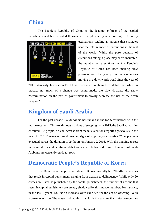### **China**

The People's Republic of China is the leading enforcer of the capital punishment and has executed thousands of people each year according to Amnesty



estimations, totaling an amount that estimates near the total number of executions in the rest of the world. While the pure quantity of executions taking a place may seem incurable, the number of executions in the People's Republic of China has been making slow progress with the yearly total of executions moving in a downwards trend since the year of

2011. Amnesty International's China researcher William Nee stated that while in practice not much of a change was being made, the slow decrease did show "determination on the part of government to slowly decrease the use of the death penalty."

### **Kingdom of Saudi Arabia**

For the past decade, Saudi Arabia has ranked in the top 5 for nations with the most executions. This trend shows no signs of stopping, as in 2015, the Saudi authorities executed 157 people, a clear increase from the 90 executions reported previously in the year of 2014. The executions showed no signs of stopping as a massive 47 people were executed across the duration of 24 hours on January 2 2016. With the ongoing unrest in the middle east, it is estimated that somewhere between dozens to hundreds of Saudi Arabians are currently on death row.

### **Democratic People's Republic of Korea**

The Democratic People's Republic of Korea currently has 20 different crimes that result in capital punishment, ranging from treason to delinquency. While only 20 crimes are listed as punishable by the capital punishment, the number of actions that result in capital punishment are greatly shadowed by this meager number. For instance, in the last 2 years, 130 North Koreans were executed for the act of watching South Korean television. The reason behind this is a North Korean law that states 'executions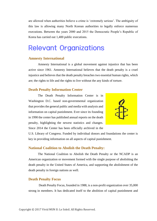are allowed when authorities believe a crime is 'extremely serious'. The ambiguity of this law is allowing many North Korean authorities to legally enforce numerous executions. Between the years 2000 and 2015 the Democratic People's Republic of Korea has carried out 1,400 public executions.

## **Relevant Organizations**

#### **Amnesty International**

Amnesty International is a global movement against injustice that has been active since 1961. Amnesty International believes that the death penalty is a cruel injustice and believes that the death penalty breaches two essential human rights, which are; the rights to life and the rights to live without the any kinds of torture.

#### **Death Penalty Information Center**

The Death Penalty Information Center is in Washington D.C. based non-governmental organization that provides the general public and media with analysis and information on capital punishment. Ever since its founding in 1990 the center has published annual reports on the death penalty, highlighting the newest statistics and changes. Since 2014 the Center has been officially archived in the



U.S. Library of Congress. Funded by individual donors and foundations the center is key in providing information on all aspects of capital punishment.

#### **National Coalition to Abolish the Death Penalty:**

The National Coalition to Abolish the Death Penalty or the NCADP is an American organization or movement formed with the single purpose of abolishing the death penalty in the United States of America, and supporting the abolishment of the death penalty in foreign nations as well.

#### **Death Penalty Focus**

Death Penalty Focus, founded in 1988, is a non-profit organization over 35,000 strong in members. It has dedicated itself to the abolition of capital punishment and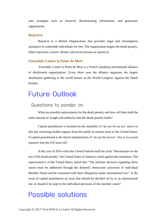uses strategies such as research, disseminating information, and grassroots organization.

#### **Reprieve**

Reprieve is a British Organization that provides legal and investigative assistance to vulnerable individuals for free. The organization targets the death penalty, lethal injections, torture, drones, and secret prisons as injustices.

#### **Ensemble Contre la Peine de Mort**

Ensemble Contre la Peine de Mort is a French speaking international alliance of abolitionist organizations. Every three year the alliance organizes the largest abolitionist gathering in the world known as the World Congress Against the Death Penalty.

### **Future Outlook**

#### Questions to ponder on

What are possible replacements for the death penalty and how will they hold the same amount of weight and authority that the death penalty holds?

Capital punishment is founded on the mentality of 'an eye for an eye' and is to this day receiving sizable support from the public in nations such as the United States. If capital punishment is the literal interpretation of 'an eye for an eye' why is it a social injustice that the UN must rid?

In the year of 2016 when the United Nations held the sixth "Moratorium on the use of the death penalty" the United States of America voted against the resolution. The representative of the United States stated that "The ultimate decision regarding these issues must be addressed through the domestic democratic processes of individual Member States and be consistent with their obligations under international law". Is the issue of capital punishment an issue that should be decided on by as an international law or should it be kept to the individual decisions of the member states?

## **Possible solutions**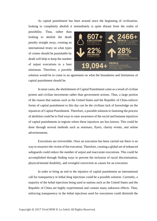As capital punishment has been around since the beginning of civilization, looking to completely abolish it immediately is quite distant from the realm of

possibility. Thus, rather than looking to abolish the death penalty straight away, creating an international treaty on what types of crimes should be punishable by death will help to keep the number of unjust executions to a bare minimum. Therefore, a possible



solution would be to come to an agreement on what the boundaries and limitations of capital punishment should be.

In most cases, the abolishment of Capital Punishment came as a result of civilian protest and civilian movements rather than government actions. Thus, a large portion of the reason that nations such as the United States and the Republic of China enforce forms of capital punishment to this day can be the civilians lack of knowledge on the injustices of Capital Punishment. Therefore, a possible solution to fastening the process of abolition could be to find ways to raise awareness of the social and humane injustices of capital punishments in regions where these injustices are less known. This could be done through several methods such as seminars, flyers, charity events, and online advertisements.

Executions are irreversible. Once an execution has been carried out there is no way to resurrect the victim of the execution. Therefore, creating a global set of enhanced safeguards could reduce the number of unjust and inaccurate executions. This could be accomplished through finding ways to prevent the inclusion of racial discrimination, physical/mental disability, and wrongful conviction as causes for an execution.

In order to bring an end to the injustice of capital punishment an international call for transparency in lethal drug injections could be a possible solution. Currently, a majority of the lethal injections being used in nations such as the United States and the Republic of China are highly experimental and contain many unknown effects. Thus, enforcing transparency in the lethal injections used for executions could diminish the